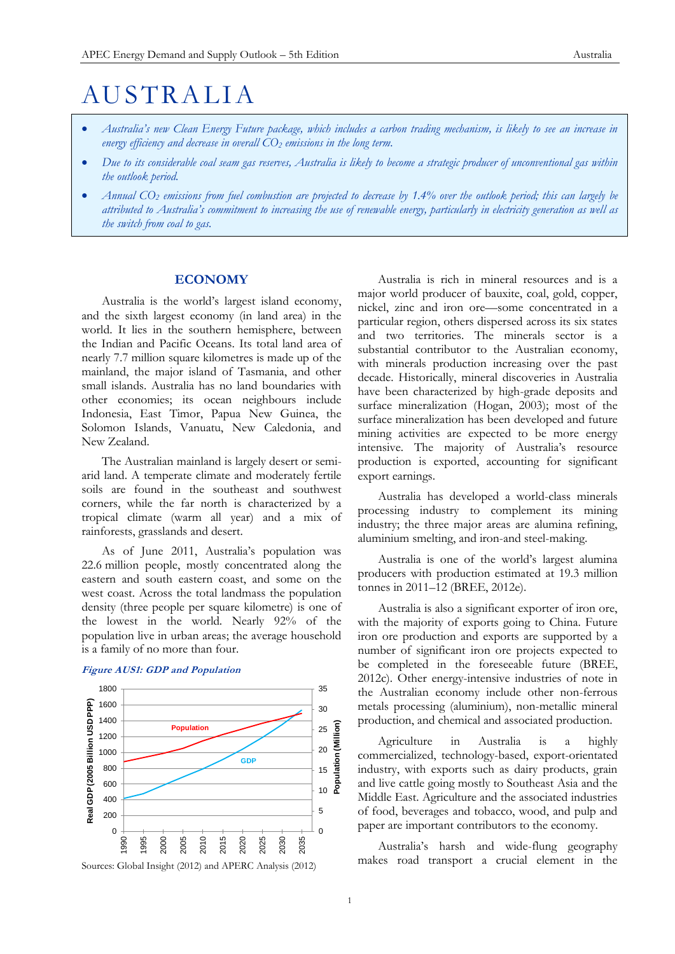# **AUSTRALIA**

- *Australia's new Clean Energy Future package, which includes a carbon trading mechanism, is likely to see an increase in energy efficiency and decrease in overall CO<sup>2</sup> emissions in the long term.*
- *Due to its considerable coal seam gas reserves, Australia is likely to become a strategic producer of unconventional gas within the outlook period.*
- *Annual CO<sup>2</sup> emissions from fuel combustion are projected to decrease by 1.4% over the outlook period; this can largely be attributed to Australia's commitment to increasing the use of renewable energy, particularly in electricity generation as well as the switch from coal to gas.*

# **ECONOMY**

Australia is the world's largest island economy, and the sixth largest economy (in land area) in the world. It lies in the southern hemisphere, between the Indian and Pacific Oceans. Its total land area of nearly 7.7 million square kilometres is made up of the mainland, the major island of Tasmania, and other small islands. Australia has no land boundaries with other economies; its ocean neighbours include Indonesia, East Timor, Papua New Guinea, the Solomon Islands, Vanuatu, New Caledonia, and New Zealand.

The Australian mainland is largely desert or semiarid land. A temperate climate and moderately fertile soils are found in the southeast and southwest corners, while the far north is characterized by a tropical climate (warm all year) and a mix of rainforests, grasslands and desert.

As of June 2011, Australia's population was 22.6 million people, mostly concentrated along the eastern and south eastern coast, and some on the west coast. Across the total landmass the population density (three people per square kilometre) is one of the lowest in the world. Nearly 92% of the population live in urban areas; the average household is a family of no more than four.



# **Figure AUS1: GDP and Population**

Australia is rich in mineral resources and is a major world producer of bauxite, coal, gold, copper, nickel, zinc and iron ore—some concentrated in a particular region, others dispersed across its six states and two territories. The minerals sector is a substantial contributor to the Australian economy, with minerals production increasing over the past decade. Historically, mineral discoveries in Australia have been characterized by high-grade deposits and surface mineralization (Hogan, 2003); most of the surface mineralization has been developed and future mining activities are expected to be more energy intensive. The majority of Australia's resource production is exported, accounting for significant export earnings.

Australia has developed a world-class minerals processing industry to complement its mining industry; the three major areas are alumina refining, aluminium smelting, and iron-and steel-making.

Australia is one of the world's largest alumina producers with production estimated at 19.3 million tonnes in 2011–12 (BREE, 2012e).

Australia is also a significant exporter of iron ore, with the majority of exports going to China. Future iron ore production and exports are supported by a number of significant iron ore projects expected to be completed in the foreseeable future (BREE, 2012c). Other energy-intensive industries of note in the Australian economy include other non-ferrous metals processing (aluminium), non-metallic mineral production, and chemical and associated production.

Agriculture in Australia is a highly commercialized, technology-based, export-orientated industry, with exports such as dairy products, grain and live cattle going mostly to Southeast Asia and the Middle East. Agriculture and the associated industries of food, beverages and tobacco, wood, and pulp and paper are important contributors to the economy.

Australia's harsh and wide-flung geography makes road transport a crucial element in the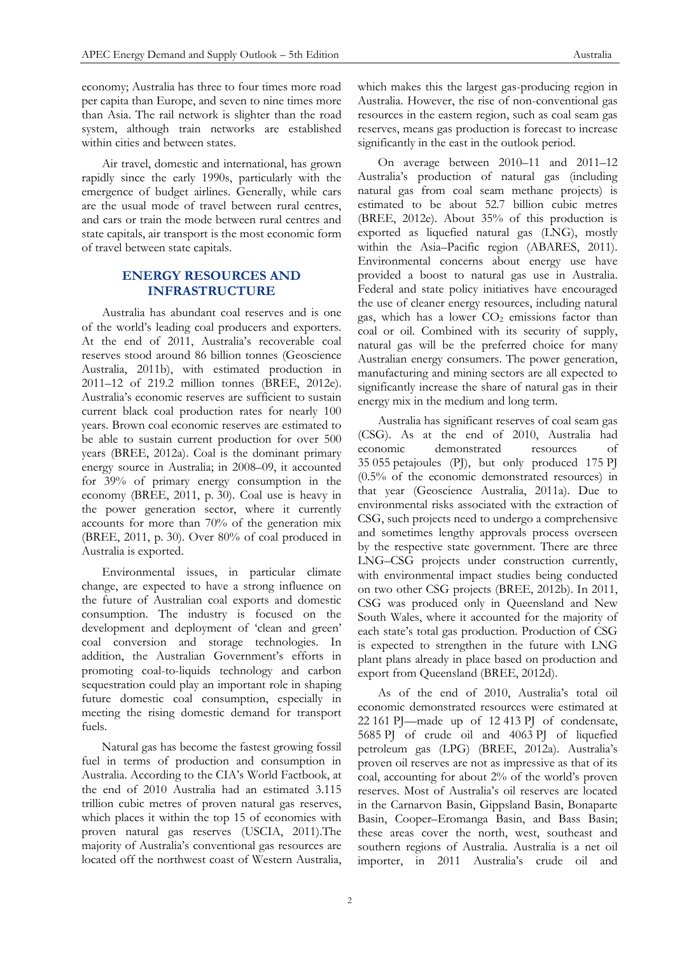economy; Australia has three to four times more road per capita than Europe, and seven to nine times more than Asia. The rail network is slighter than the road system, although train networks are established within cities and between states.

Air travel, domestic and international, has grown rapidly since the early 1990s, particularly with the emergence of budget airlines. Generally, while cars are the usual mode of travel between rural centres, and cars or train the mode between rural centres and state capitals, air transport is the most economic form of travel between state capitals.

# **ENERGY RESOURCES AND INFRASTRUCTURE**

Australia has abundant coal reserves and is one of the world's leading coal producers and exporters. At the end of 2011, Australia's recoverable coal reserves stood around 86 billion tonnes (Geoscience Australia, 2011b), with estimated production in 2011–12 of 219.2 million tonnes (BREE, 2012e). Australia's economic reserves are sufficient to sustain current black coal production rates for nearly 100 years. Brown coal economic reserves are estimated to be able to sustain current production for over 500 years (BREE, 2012a). Coal is the dominant primary energy source in Australia; in 2008–09, it accounted for 39% of primary energy consumption in the economy (BREE, 2011, p. 30). Coal use is heavy in the power generation sector, where it currently accounts for more than 70% of the generation mix (BREE, 2011, p. 30). Over 80% of coal produced in Australia is exported.

Environmental issues, in particular climate change, are expected to have a strong influence on the future of Australian coal exports and domestic consumption. The industry is focused on the development and deployment of 'clean and green' coal conversion and storage technologies. In addition, the Australian Government's efforts in promoting coal-to-liquids technology and carbon sequestration could play an important role in shaping future domestic coal consumption, especially in meeting the rising domestic demand for transport fuels.

Natural gas has become the fastest growing fossil fuel in terms of production and consumption in Australia. According to the CIA's World Factbook, at the end of 2010 Australia had an estimated 3.115 trillion cubic metres of proven natural gas reserves, which places it within the top 15 of economies with proven natural gas reserves (USCIA, 2011).The majority of Australia's conventional gas resources are located off the northwest coast of Western Australia,

which makes this the largest gas-producing region in Australia. However, the rise of non-conventional gas resources in the eastern region, such as coal seam gas reserves, means gas production is forecast to increase significantly in the east in the outlook period.

On average between 2010–11 and 2011–12 Australia's production of natural gas (including natural gas from coal seam methane projects) is estimated to be about 52.7 billion cubic metres (BREE, 2012e). About 35% of this production is exported as liquefied natural gas (LNG), mostly within the Asia–Pacific region (ABARES, 2011). Environmental concerns about energy use have provided a boost to natural gas use in Australia. Federal and state policy initiatives have encouraged the use of cleaner energy resources, including natural gas, which has a lower  $CO<sub>2</sub>$  emissions factor than coal or oil. Combined with its security of supply, natural gas will be the preferred choice for many Australian energy consumers. The power generation, manufacturing and mining sectors are all expected to significantly increase the share of natural gas in their energy mix in the medium and long term.

Australia has significant reserves of coal seam gas (CSG). As at the end of 2010, Australia had economic demonstrated resources of 35 055 petajoules (PJ), but only produced 175 PJ (0.5% of the economic demonstrated resources) in that year (Geoscience Australia, 2011a). Due to environmental risks associated with the extraction of CSG, such projects need to undergo a comprehensive and sometimes lengthy approvals process overseen by the respective state government. There are three LNG–CSG projects under construction currently, with environmental impact studies being conducted on two other CSG projects (BREE, 2012b). In 2011, CSG was produced only in Queensland and New South Wales, where it accounted for the majority of each state's total gas production. Production of CSG is expected to strengthen in the future with LNG plant plans already in place based on production and export from Queensland (BREE, 2012d).

As of the end of 2010, Australia's total oil economic demonstrated resources were estimated at 22 161 PJ—made up of 12 413 PJ of condensate, 5685 PJ of crude oil and 4063 PJ of liquefied petroleum gas (LPG) (BREE, 2012a). Australia's proven oil reserves are not as impressive as that of its coal, accounting for about 2% of the world's proven reserves. Most of Australia's oil reserves are located in the Carnarvon Basin, Gippsland Basin, Bonaparte Basin, Cooper–Eromanga Basin, and Bass Basin; these areas cover the north, west, southeast and southern regions of Australia. Australia is a net oil importer, in 2011 Australia's crude oil and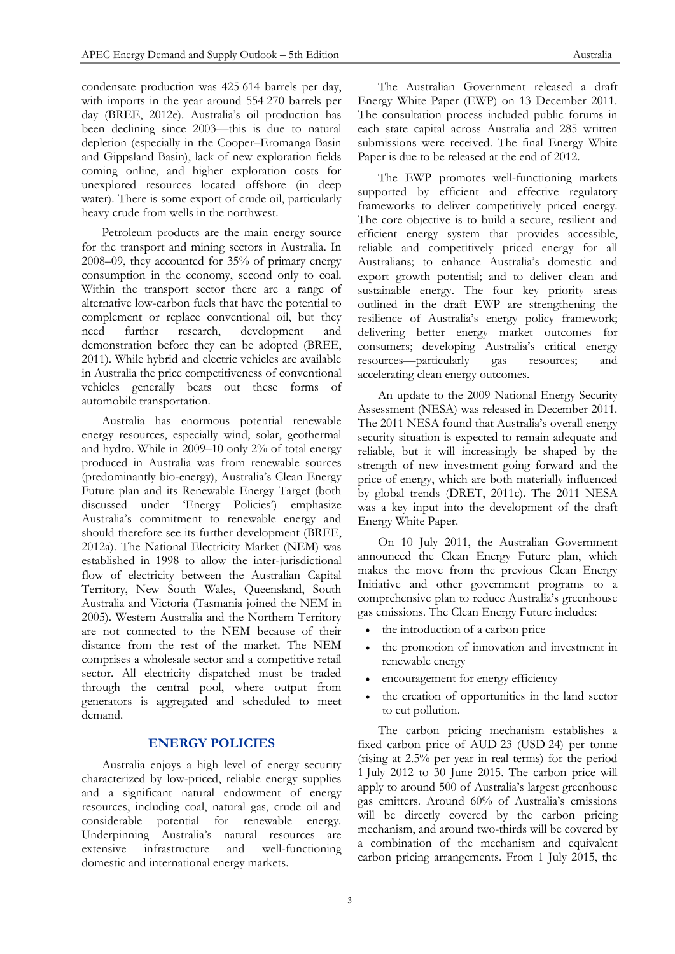condensate production was 425 614 barrels per day, with imports in the year around 554 270 barrels per day (BREE, 2012e). Australia's oil production has been declining since 2003—this is due to natural depletion (especially in the Cooper–Eromanga Basin and Gippsland Basin), lack of new exploration fields coming online, and higher exploration costs for unexplored resources located offshore (in deep water). There is some export of crude oil, particularly heavy crude from wells in the northwest.

Petroleum products are the main energy source for the transport and mining sectors in Australia. In 2008–09, they accounted for 35% of primary energy consumption in the economy, second only to coal. Within the transport sector there are a range of alternative low-carbon fuels that have the potential to complement or replace conventional oil, but they need further research, development and demonstration before they can be adopted (BREE, 2011). While hybrid and electric vehicles are available in Australia the price competitiveness of conventional vehicles generally beats out these forms of automobile transportation.

Australia has enormous potential renewable energy resources, especially wind, solar, geothermal and hydro. While in 2009–10 only 2% of total energy produced in Australia was from renewable sources (predominantly bio-energy), Australia's Clean Energy Future plan and its Renewable Energy Target (both discussed under 'Energy Policies') emphasize Australia's commitment to renewable energy and should therefore see its further development (BREE, 2012a). The National Electricity Market (NEM) was established in 1998 to allow the inter-jurisdictional flow of electricity between the Australian Capital Territory, New South Wales, Queensland, South Australia and Victoria (Tasmania joined the NEM in 2005). Western Australia and the Northern Territory are not connected to the NEM because of their distance from the rest of the market. The NEM comprises a wholesale sector and a competitive retail sector. All electricity dispatched must be traded through the central pool, where output from generators is aggregated and scheduled to meet demand.

# **ENERGY POLICIES**

Australia enjoys a high level of energy security characterized by low-priced, reliable energy supplies and a significant natural endowment of energy resources, including coal, natural gas, crude oil and considerable potential for renewable energy. Underpinning Australia's natural resources are extensive infrastructure and well-functioning domestic and international energy markets.

The Australian Government released a draft Energy White Paper (EWP) on 13 December 2011. The consultation process included public forums in each state capital across Australia and 285 written submissions were received. The final Energy White Paper is due to be released at the end of 2012.

The EWP promotes well-functioning markets supported by efficient and effective regulatory frameworks to deliver competitively priced energy. The core objective is to build a secure, resilient and efficient energy system that provides accessible, reliable and competitively priced energy for all Australians; to enhance Australia's domestic and export growth potential; and to deliver clean and sustainable energy. The four key priority areas outlined in the draft EWP are strengthening the resilience of Australia's energy policy framework; delivering better energy market outcomes for consumers; developing Australia's critical energy resources—particularly gas resources; and accelerating clean energy outcomes.

An update to the 2009 National Energy Security Assessment (NESA) was released in December 2011. The 2011 NESA found that Australia's overall energy security situation is expected to remain adequate and reliable, but it will increasingly be shaped by the strength of new investment going forward and the price of energy, which are both materially influenced by global trends (DRET, 2011c). The 2011 NESA was a key input into the development of the draft Energy White Paper.

On 10 July 2011, the Australian Government announced the Clean Energy Future plan, which makes the move from the previous Clean Energy Initiative and other government programs to a comprehensive plan to reduce Australia's greenhouse gas emissions. The Clean Energy Future includes:

- the introduction of a carbon price
- the promotion of innovation and investment in renewable energy
- encouragement for energy efficiency
- the creation of opportunities in the land sector to cut pollution.

The carbon pricing mechanism establishes a fixed carbon price of AUD 23 (USD 24) per tonne (rising at 2.5% per year in real terms) for the period 1 July 2012 to 30 June 2015. The carbon price will apply to around 500 of Australia's largest greenhouse gas emitters. Around 60% of Australia's emissions will be directly covered by the carbon pricing mechanism, and around two-thirds will be covered by a combination of the mechanism and equivalent carbon pricing arrangements. From 1 July 2015, the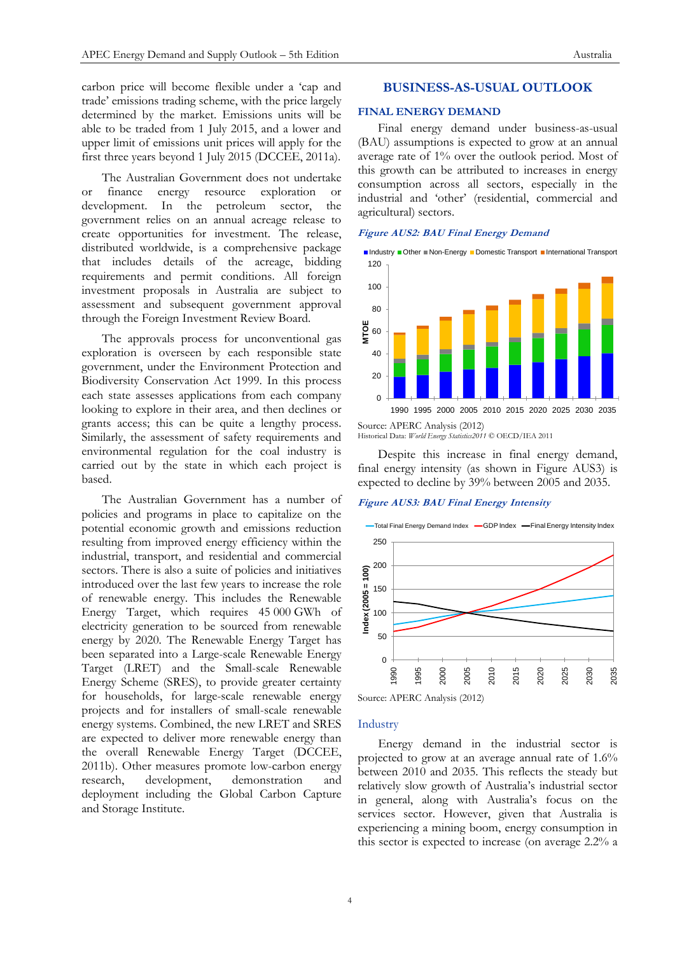carbon price will become flexible under a 'cap and trade' emissions trading scheme, with the price largely determined by the market. Emissions units will be able to be traded from 1 July 2015, and a lower and upper limit of emissions unit prices will apply for the first three years beyond 1 July 2015 (DCCEE, 2011a).

The Australian Government does not undertake or finance energy resource exploration or development. In the petroleum sector, the government relies on an annual acreage release to create opportunities for investment. The release, distributed worldwide, is a comprehensive package that includes details of the acreage, bidding requirements and permit conditions. All foreign investment proposals in Australia are subject to assessment and subsequent government approval through the Foreign Investment Review Board.

The approvals process for unconventional gas exploration is overseen by each responsible state government, under the Environment Protection and Biodiversity Conservation Act 1999. In this process each state assesses applications from each company looking to explore in their area, and then declines or grants access; this can be quite a lengthy process. Similarly, the assessment of safety requirements and environmental regulation for the coal industry is carried out by the state in which each project is based.

The Australian Government has a number of policies and programs in place to capitalize on the potential economic growth and emissions reduction resulting from improved energy efficiency within the industrial, transport, and residential and commercial sectors. There is also a suite of policies and initiatives introduced over the last few years to increase the role of renewable energy. This includes the Renewable Energy Target, which requires 45 000 GWh of electricity generation to be sourced from renewable energy by 2020. The Renewable Energy Target has been separated into a Large-scale Renewable Energy Target (LRET) and the Small-scale Renewable Energy Scheme (SRES), to provide greater certainty for households, for large-scale renewable energy projects and for installers of small-scale renewable energy systems. Combined, the new LRET and SRES are expected to deliver more renewable energy than the overall Renewable Energy Target (DCCEE, 2011b). Other measures promote low-carbon energy research, development, demonstration and deployment including the Global Carbon Capture and Storage Institute.

## **BUSINESS-AS-USUAL OUTLOOK**

#### **FINAL ENERGY DEMAND**

Final energy demand under business-as-usual (BAU) assumptions is expected to grow at an annual average rate of 1% over the outlook period. Most of this growth can be attributed to increases in energy consumption across all sectors, especially in the industrial and 'other' (residential, commercial and agricultural) sectors.

#### **Figure AUS2: BAU Final Energy Demand**



Historical Data: *World Energy Statistics2011* © OECD/IEA 2011

Despite this increase in final energy demand, final energy intensity (as shown in Figure AUS3) is expected to decline by 39% between 2005 and 2035.

## **Figure AUS3: BAU Final Energy Intensity**





#### Industry

Energy demand in the industrial sector is projected to grow at an average annual rate of 1.6% between 2010 and 2035. This reflects the steady but relatively slow growth of Australia's industrial sector in general, along with Australia's focus on the services sector. However, given that Australia is experiencing a mining boom, energy consumption in this sector is expected to increase (on average 2.2% a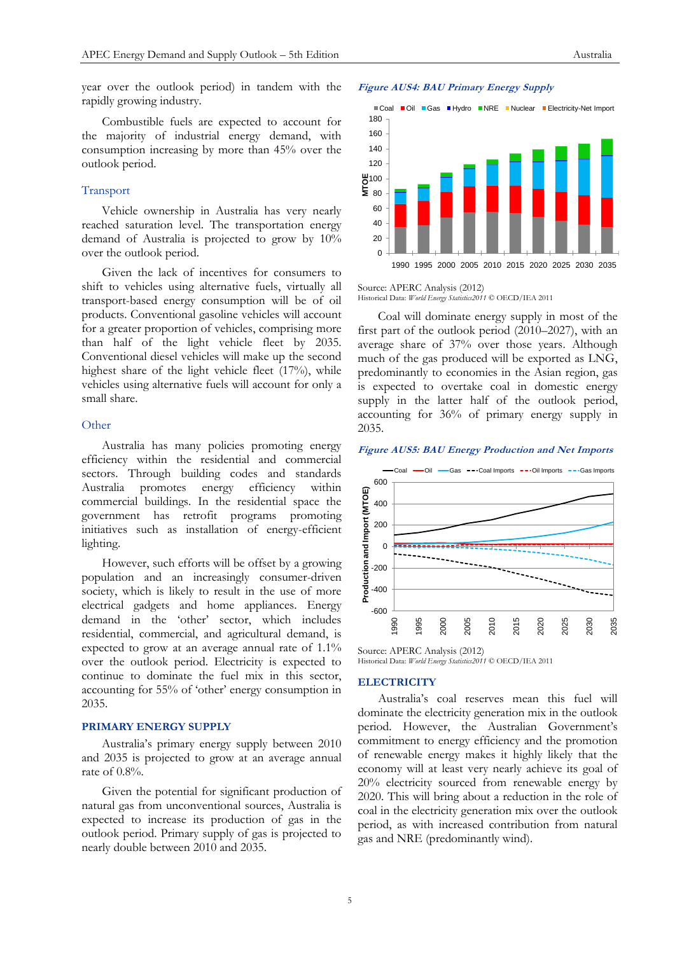year over the outlook period) in tandem with the rapidly growing industry.

Combustible fuels are expected to account for the majority of industrial energy demand, with consumption increasing by more than 45% over the outlook period.

# Transport

Vehicle ownership in Australia has very nearly reached saturation level. The transportation energy demand of Australia is projected to grow by 10% over the outlook period.

Given the lack of incentives for consumers to shift to vehicles using alternative fuels, virtually all transport-based energy consumption will be of oil products. Conventional gasoline vehicles will account for a greater proportion of vehicles, comprising more than half of the light vehicle fleet by 2035. Conventional diesel vehicles will make up the second highest share of the light vehicle fleet (17%), while vehicles using alternative fuels will account for only a small share.

#### **Other**

Australia has many policies promoting energy efficiency within the residential and commercial sectors. Through building codes and standards Australia promotes energy efficiency within commercial buildings. In the residential space the government has retrofit programs promoting initiatives such as installation of energy-efficient lighting.

However, such efforts will be offset by a growing population and an increasingly consumer-driven society, which is likely to result in the use of more electrical gadgets and home appliances. Energy demand in the 'other' sector, which includes residential, commercial, and agricultural demand, is expected to grow at an average annual rate of 1.1% over the outlook period. Electricity is expected to continue to dominate the fuel mix in this sector, accounting for 55% of 'other' energy consumption in 2035.

#### **PRIMARY ENERGY SUPPLY**

Australia's primary energy supply between 2010 and 2035 is projected to grow at an average annual rate of 0.8%.

Given the potential for significant production of natural gas from unconventional sources, Australia is expected to increase its production of gas in the outlook period. Primary supply of gas is projected to nearly double between 2010 and 2035.



#### Source: APERC Analysis (2012) Historical Data: *World Energy Statistics2011* © OECD/IEA 2011

Coal will dominate energy supply in most of the first part of the outlook period (2010–2027), with an average share of 37% over those years. Although much of the gas produced will be exported as LNG, predominantly to economies in the Asian region, gas is expected to overtake coal in domestic energy supply in the latter half of the outlook period, accounting for 36% of primary energy supply in 2035.

#### **Figure AUS5: BAU Energy Production and Net Imports**



Source: APERC Analysis (2012) Historical Data: *World Energy Statistics2011* © OECD/IEA 2011

#### **ELECTRICITY**

Australia's coal reserves mean this fuel will dominate the electricity generation mix in the outlook period. However, the Australian Government's commitment to energy efficiency and the promotion of renewable energy makes it highly likely that the economy will at least very nearly achieve its goal of 20% electricity sourced from renewable energy by 2020. This will bring about a reduction in the role of coal in the electricity generation mix over the outlook period, as with increased contribution from natural gas and NRE (predominantly wind).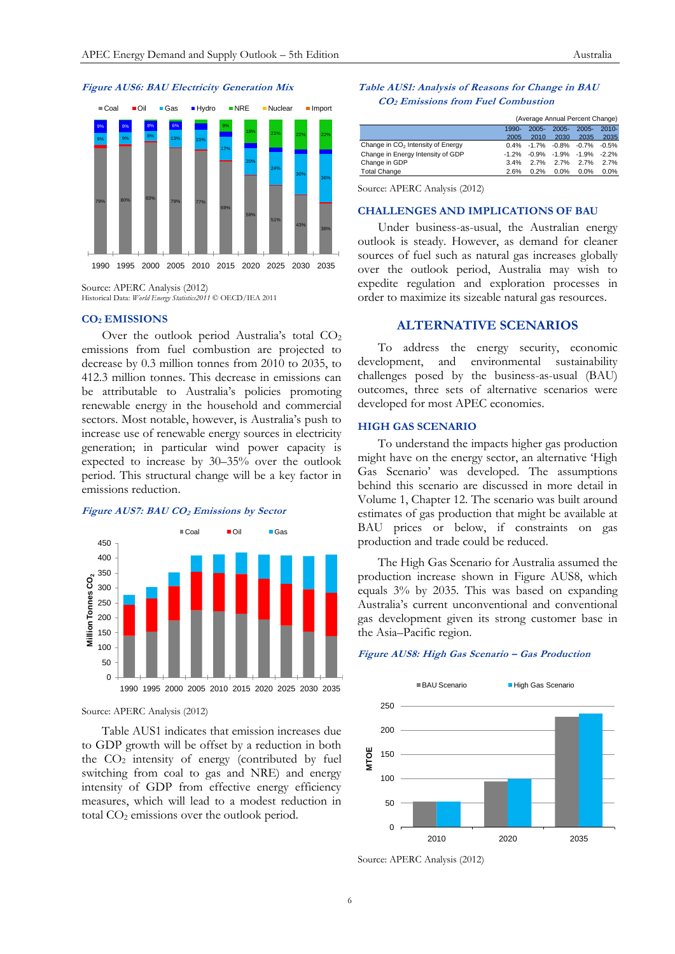## **Figure AUS6: BAU Electricity Generation Mix**



Source: APERC Analysis (2012) Historical Data: *World Energy Statistics2011* © OECD/IEA 2011

# **CO<sup>2</sup> EMISSIONS**

Over the outlook period Australia's total CO<sub>2</sub> emissions from fuel combustion are projected to decrease by 0.3 million tonnes from 2010 to 2035, to 412.3 million tonnes. This decrease in emissions can be attributable to Australia's policies promoting renewable energy in the household and commercial sectors. Most notable, however, is Australia's push to increase use of renewable energy sources in electricity generation; in particular wind power capacity is expected to increase by 30–35% over the outlook period. This structural change will be a key factor in emissions reduction.

#### **Figure AUS7: BAU CO<sup>2</sup> Emissions by Sector**



#### Source: APERC Analysis (2012)

Table AUS1 indicates that emission increases due to GDP growth will be offset by a reduction in both the  $CO<sub>2</sub>$  intensity of energy (contributed by fuel switching from coal to gas and NRE) and energy intensity of GDP from effective energy efficiency measures, which will lead to a modest reduction in total CO<sub>2</sub> emissions over the outlook period.

## **Table AUS1: Analysis of Reasons for Change in BAU CO2 Emissions from Fuel Combustion**

|                                               | (Average Annual Percent Change) |          |          |                                 |          |
|-----------------------------------------------|---------------------------------|----------|----------|---------------------------------|----------|
|                                               | $1990-$                         | $2005 -$ | $2005 -$ | $2005 -$                        | $2010 -$ |
|                                               | 2005                            | 2010     | 2030     | 2035                            | 2035     |
| Change in CO <sub>2</sub> Intensity of Energy |                                 |          |          | $0.4\%$ -1.7% -0.8% -0.7% -0.5% |          |
| Change in Energy Intensity of GDP             | $-1.2\%$                        |          |          | -0.9% -1.9% -1.9%               | $-2.2%$  |
| Change in GDP                                 | 3.4%                            | 2.7%     | 2.7%     | 2.7%                            | 2.7%     |
| <b>Total Change</b>                           | 2.6%                            | 0.2%     | 0.0%     | 0.0%                            | 0.0%     |
|                                               |                                 |          |          |                                 |          |

Source: APERC Analysis (2012)

## **CHALLENGES AND IMPLICATIONS OF BAU**

Under business-as-usual, the Australian energy outlook is steady. However, as demand for cleaner sources of fuel such as natural gas increases globally over the outlook period, Australia may wish to expedite regulation and exploration processes in order to maximize its sizeable natural gas resources.

## **ALTERNATIVE SCENARIOS**

To address the energy security, economic development, and environmental sustainability challenges posed by the business-as-usual (BAU) outcomes, three sets of alternative scenarios were developed for most APEC economies.

# **HIGH GAS SCENARIO**

To understand the impacts higher gas production might have on the energy sector, an alternative 'High Gas Scenario' was developed. The assumptions behind this scenario are discussed in more detail in Volume 1, Chapter 12. The scenario was built around estimates of gas production that might be available at BAU prices or below, if constraints on gas production and trade could be reduced.

The High Gas Scenario for Australia assumed the production increase shown in Figure AUS8, which equals 3% by 2035. This was based on expanding Australia's current unconventional and conventional gas development given its strong customer base in the Asia–Pacific region.

#### **Figure AUS8: High Gas Scenario – Gas Production**



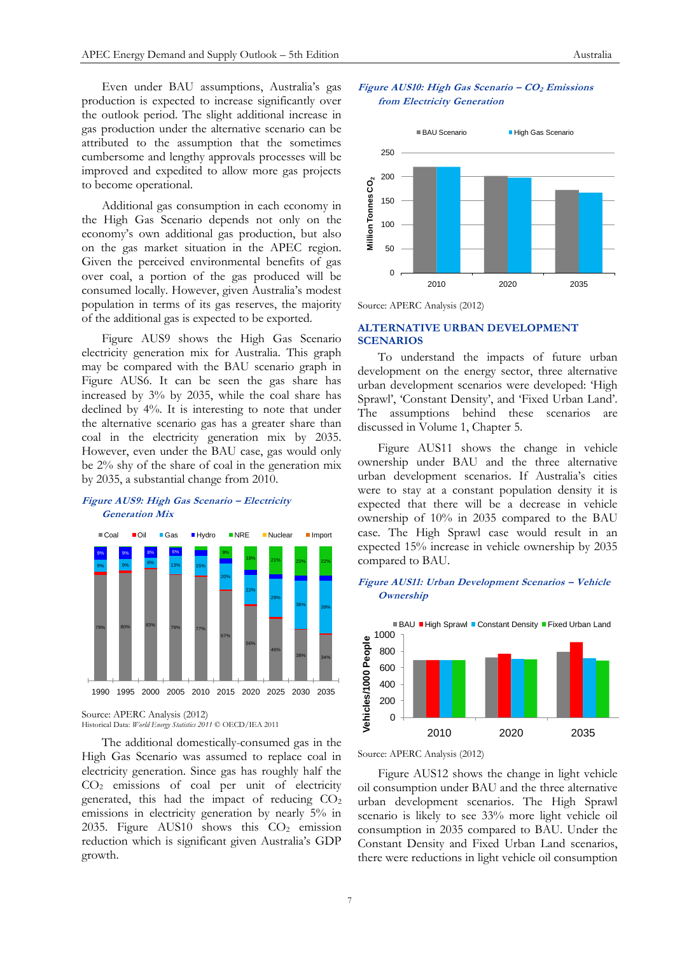Even under BAU assumptions, Australia's gas production is expected to increase significantly over the outlook period. The slight additional increase in gas production under the alternative scenario can be attributed to the assumption that the sometimes cumbersome and lengthy approvals processes will be improved and expedited to allow more gas projects to become operational.

Additional gas consumption in each economy in the High Gas Scenario depends not only on the economy's own additional gas production, but also on the gas market situation in the APEC region. Given the perceived environmental benefits of gas over coal, a portion of the gas produced will be consumed locally. However, given Australia's modest population in terms of its gas reserves, the majority of the additional gas is expected to be exported.

Figure AUS9 shows the High Gas Scenario electricity generation mix for Australia. This graph may be compared with the BAU scenario graph in Figure AUS6. It can be seen the gas share has increased by 3% by 2035, while the coal share has declined by 4%. It is interesting to note that under the alternative scenario gas has a greater share than coal in the electricity generation mix by 2035. However, even under the BAU case, gas would only be 2% shy of the share of coal in the generation mix by 2035, a substantial change from 2010.

## **Figure AUS9: High Gas Scenario – Electricity Generation Mix**



Source: APERC Analysis (2012) Historical Data: *World Energy Statistics 2011* © OECD/IEA 2011

The additional domestically-consumed gas in the High Gas Scenario was assumed to replace coal in electricity generation. Since gas has roughly half the CO<sup>2</sup> emissions of coal per unit of electricity generated, this had the impact of reducing  $CO<sub>2</sub>$ emissions in electricity generation by nearly 5% in 2035. Figure AUS10 shows this  $CO<sub>2</sub>$  emission reduction which is significant given Australia's GDP growth.





Source: APERC Analysis (2012)

# **ALTERNATIVE URBAN DEVELOPMENT SCENARIOS**

To understand the impacts of future urban development on the energy sector, three alternative urban development scenarios were developed: 'High Sprawl', 'Constant Density', and 'Fixed Urban Land'. The assumptions behind these scenarios are discussed in Volume 1, Chapter 5.

Figure AUS11 shows the change in vehicle ownership under BAU and the three alternative urban development scenarios. If Australia's cities were to stay at a constant population density it is expected that there will be a decrease in vehicle ownership of 10% in 2035 compared to the BAU case. The High Sprawl case would result in an expected 15% increase in vehicle ownership by 2035 compared to BAU.

# **Figure AUS11: Urban Development Scenarios – Vehicle Ownership**



Source: APERC Analysis (2012)

Figure AUS12 shows the change in light vehicle oil consumption under BAU and the three alternative urban development scenarios. The High Sprawl scenario is likely to see 33% more light vehicle oil consumption in 2035 compared to BAU. Under the Constant Density and Fixed Urban Land scenarios, there were reductions in light vehicle oil consumption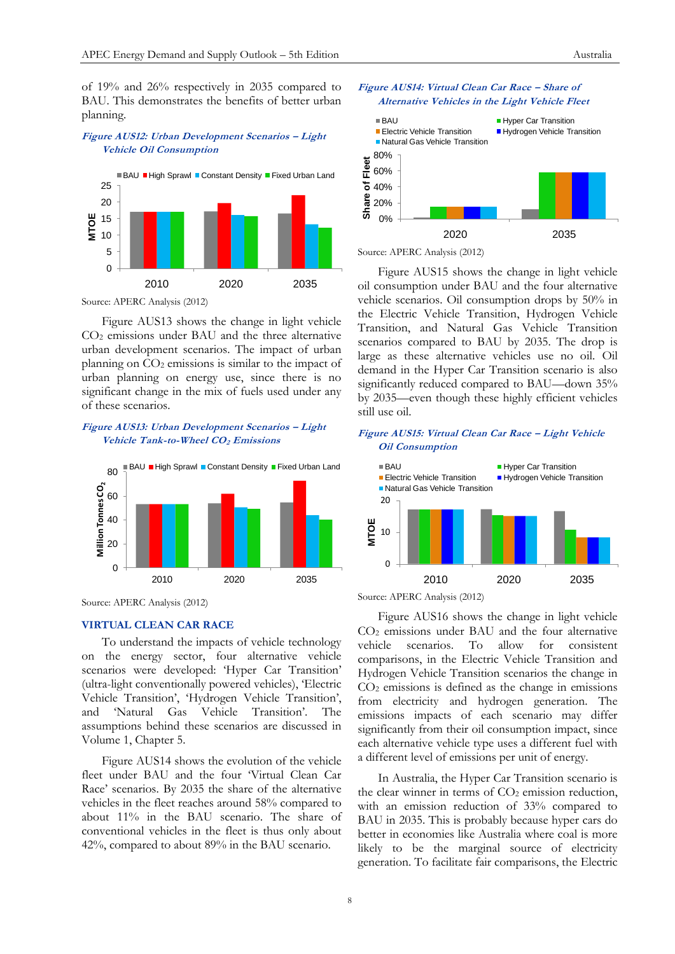of 19% and 26% respectively in 2035 compared to BAU. This demonstrates the benefits of better urban planning.

# **Figure AUS12: Urban Development Scenarios – Light Vehicle Oil Consumption**



Source: APERC Analysis (2012)

Figure AUS13 shows the change in light vehicle CO<sup>2</sup> emissions under BAU and the three alternative urban development scenarios. The impact of urban planning on  $CO<sub>2</sub>$  emissions is similar to the impact of urban planning on energy use, since there is no significant change in the mix of fuels used under any of these scenarios.

# **Figure AUS13: Urban Development Scenarios – Light Vehicle Tank-to-Wheel CO2 Emissions**



Source: APERC Analysis (2012)

#### **VIRTUAL CLEAN CAR RACE**

To understand the impacts of vehicle technology on the energy sector, four alternative vehicle scenarios were developed: 'Hyper Car Transition' (ultra-light conventionally powered vehicles), 'Electric Vehicle Transition', 'Hydrogen Vehicle Transition', and 'Natural Gas Vehicle Transition'. The assumptions behind these scenarios are discussed in Volume 1, Chapter 5.

Figure AUS14 shows the evolution of the vehicle fleet under BAU and the four 'Virtual Clean Car Race' scenarios. By 2035 the share of the alternative vehicles in the fleet reaches around 58% compared to about 11% in the BAU scenario. The share of conventional vehicles in the fleet is thus only about 42%, compared to about 89% in the BAU scenario.



**Figure AUS14: Virtual Clean Car Race – Share of Alternative Vehicles in the Light Vehicle Fleet**



Figure AUS15 shows the change in light vehicle oil consumption under BAU and the four alternative vehicle scenarios. Oil consumption drops by 50% in the Electric Vehicle Transition, Hydrogen Vehicle Transition, and Natural Gas Vehicle Transition scenarios compared to BAU by 2035. The drop is large as these alternative vehicles use no oil. Oil demand in the Hyper Car Transition scenario is also significantly reduced compared to BAU—down 35% by 2035—even though these highly efficient vehicles still use oil.

#### **Figure AUS15: Virtual Clean Car Race – Light Vehicle Oil Consumption**



Source: APERC Analysis (2012)

Figure AUS16 shows the change in light vehicle CO<sup>2</sup> emissions under BAU and the four alternative vehicle scenarios. To allow for consistent comparisons, in the Electric Vehicle Transition and Hydrogen Vehicle Transition scenarios the change in  $CO<sub>2</sub>$  emissions is defined as the change in emissions from electricity and hydrogen generation. The emissions impacts of each scenario may differ significantly from their oil consumption impact, since each alternative vehicle type uses a different fuel with a different level of emissions per unit of energy.

In Australia, the Hyper Car Transition scenario is the clear winner in terms of  $CO<sub>2</sub>$  emission reduction, with an emission reduction of 33% compared to BAU in 2035. This is probably because hyper cars do better in economies like Australia where coal is more likely to be the marginal source of electricity generation. To facilitate fair comparisons, the Electric